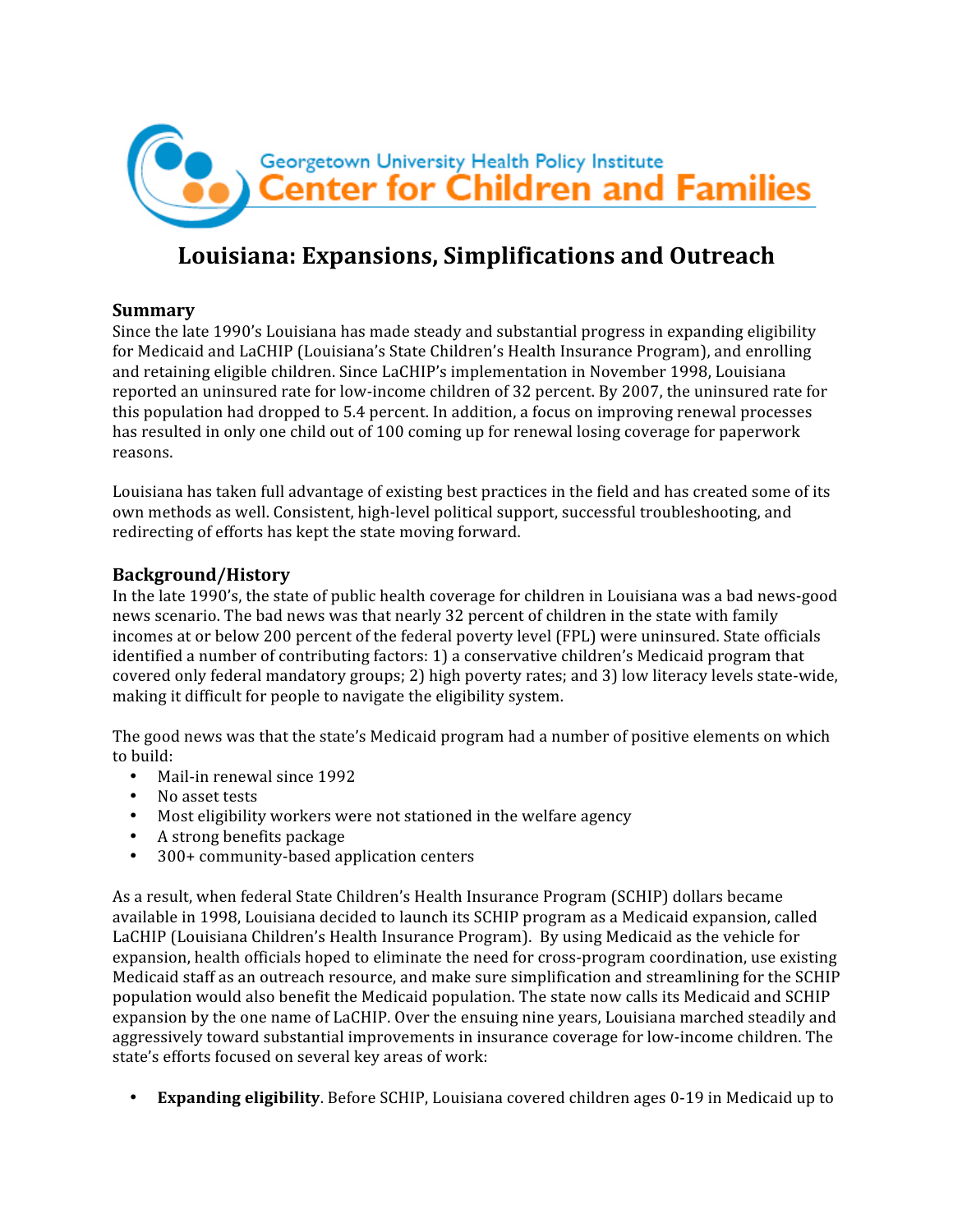

# **Louisiana: Expansions, Simplifications and Outreach**

# **Summary**

Since the late 1990's Louisiana has made steady and substantial progress in expanding eligibility for Medicaid and LaCHIP (Louisiana's State Children's Health Insurance Program), and enrolling and retaining eligible children. Since LaCHIP's implementation in November 1998, Louisiana reported an uninsured rate for low‐income children of 32 percent. By 2007, the uninsured rate for this population had dropped to 5.4 percent. In addition, a focus on improving renewal processes has resulted in only one child out of 100 coming up for renewal losing coverage for paperwork reasons.

Louisiana has taken full advantage of existing best practices in the field and has created some of its own methods as well. Consistent, high‐level political support, successful troubleshooting, and redirecting of efforts has kept the state moving forward.

# **Background/History**

In the late 1990's, the state of public health coverage for children in Louisiana was a bad news‐good news scenario. The bad news was that nearly 32 percent of children in the state with family incomes at or below 200 percent of the federal poverty level (FPL) were uninsured. State officials identified a number of contributing factors: 1) a conservative children's Medicaid program that covered only federal mandatory groups; 2) high poverty rates; and 3) low literacy levels state‐wide, making it difficult for people to navigate the eligibility system.

The good news was that the state's Medicaid program had a number of positive elements on which to build:

- Mail-in renewal since 1992
- No asset tests
- Most eligibility workers were not stationed in the welfare agency
- A strong benefits package
- 300+ community-based application centers

As a result, when federal State Children's Health Insurance Program (SCHIP) dollars became available in 1998, Louisiana decided to launch its SCHIP program as a Medicaid expansion, called LaCHIP (Louisiana Children's Health Insurance Program). By using Medicaid as the vehicle for expansion, health officials hoped to eliminate the need for cross-program coordination, use existing Medicaid staff as an outreach resource, and make sure simplification and streamlining for the SCHIP population would also benefit the Medicaid population. The state now calls its Medicaid and SCHIP expansion by the one name of LaCHIP. Over the ensuing nine years, Louisiana marched steadily and aggressively toward substantial improvements in insurance coverage for low‐income children. The state's efforts focused on several key areas of work:

• **Expanding eligibility**. Before SCHIP, Louisiana covered children ages 0‐19 in Medicaid up to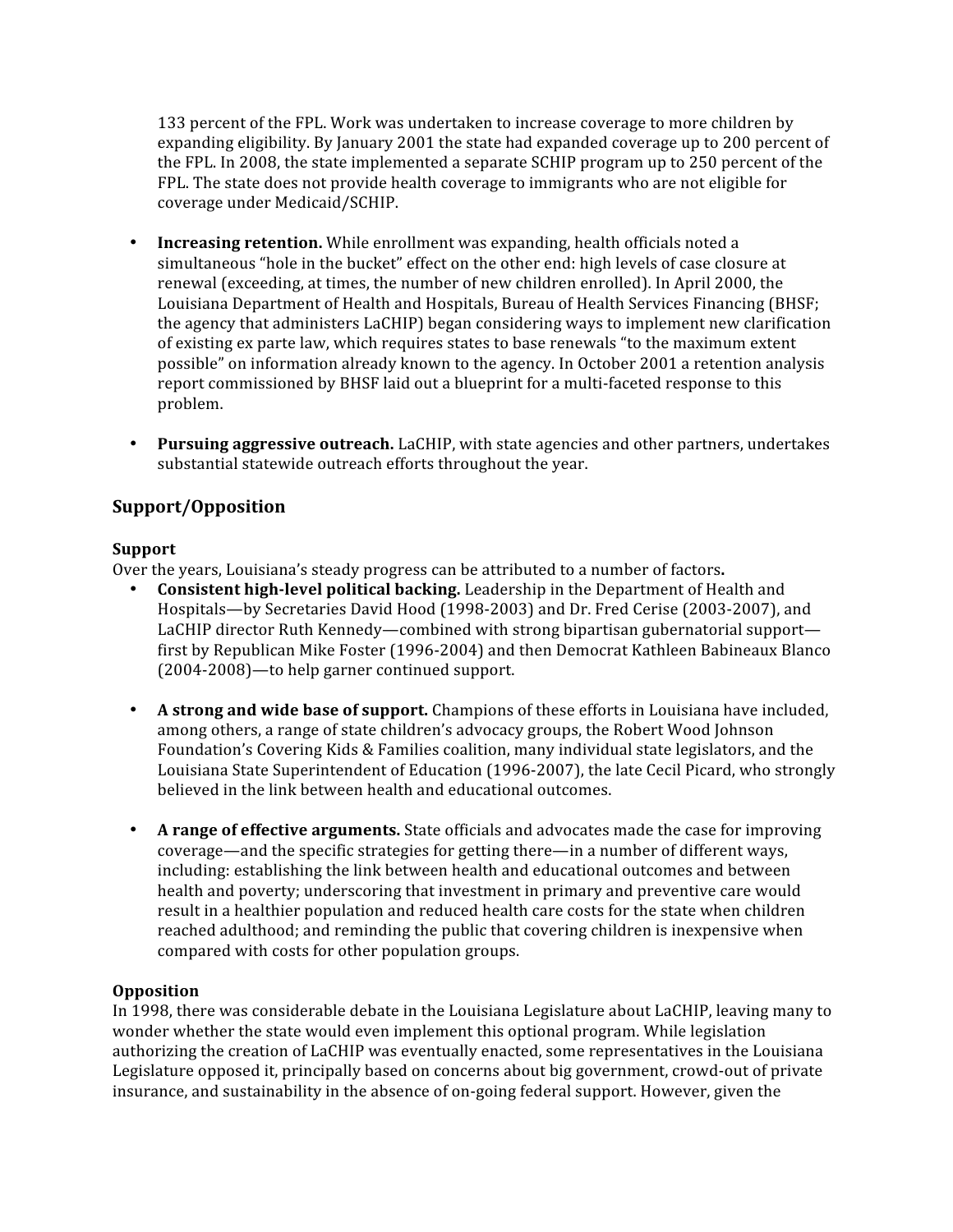133 percent of the FPL. Work was undertaken to increase coverage to more children by expanding eligibility. By January 2001 the state had expanded coverage up to 200 percent of the FPL. In 2008, the state implemented a separate SCHIP program up to 250 percent of the FPL. The state does not provide health coverage to immigrants who are not eligible for coverage under Medicaid/SCHIP.

- **Increasing retention.** While enrollment was expanding, health officials noted a simultaneous "hole in the bucket" effect on the other end: high levels of case closure at renewal (exceeding, at times, the number of new children enrolled). In April 2000, the Louisiana Department of Health and Hospitals, Bureau of Health Services Financing (BHSF; the agency that administers LaCHIP) began considering ways to implement new clarification of existing ex parte law, which requires states to base renewals "to the maximum extent possible" on information already known to the agency. In October 2001 a retention analysis report commissioned by BHSF laid out a blueprint for a multi-faceted response to this problem.
- **Pursuing aggressive outreach.** LaCHIP, with state agencies and other partners, undertakes substantial statewide outreach efforts throughout the year.

# **Support/Opposition**

#### **Support**

Over the years, Louisiana's steady progress can be attributed to a number of factors**.**

- **Consistent high-level political backing.** Leadership in the Department of Health and Hospitals—by Secretaries David Hood (1998‐2003) and Dr. Fred Cerise (2003‐2007), and LaCHIP director Ruth Kennedy—combined with strong bipartisan gubernatorial support first by Republican Mike Foster (1996‐2004) and then Democrat Kathleen Babineaux Blanco (2004‐2008)—to help garner continued support.
- **A strong and wide base of support.** Champions of these efforts in Louisiana have included, among others, a range of state children's advocacy groups, the Robert Wood Johnson Foundation's Covering Kids & Families coalition, many individual state legislators, and the Louisiana State Superintendent of Education (1996‐2007), the late Cecil Picard, who strongly believed in the link between health and educational outcomes.
- **A range of effective arguments.** State officials and advocates made the case for improving coverage—and the specific strategies for getting there—in a number of different ways, including: establishing the link between health and educational outcomes and between health and poverty; underscoring that investment in primary and preventive care would result in a healthier population and reduced health care costs for the state when children reached adulthood; and reminding the public that covering children is inexpensive when compared with costs for other population groups.

# **Opposition**

In 1998, there was considerable debate in the Louisiana Legislature about LaCHIP, leaving many to wonder whether the state would even implement this optional program. While legislation authorizing the creation of LaCHIP was eventually enacted, some representatives in the Louisiana Legislature opposed it, principally based on concerns about big government, crowd‐out of private insurance, and sustainability in the absence of on‐going federal support. However, given the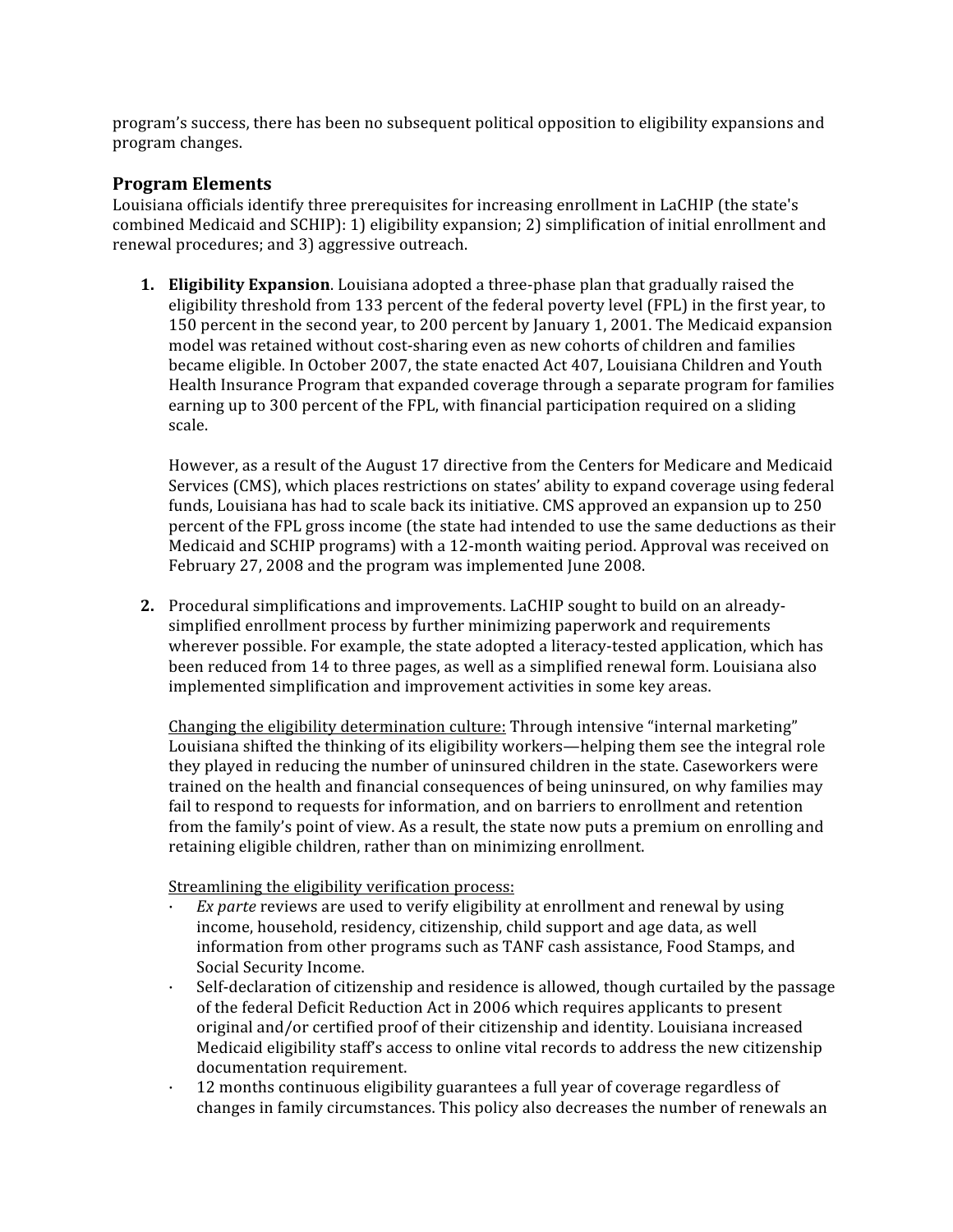program's success, there has been no subsequent political opposition to eligibility expansions and program changes.

#### **Program Elements**

Louisiana officials identify three prerequisites for increasing enrollment in LaCHIP (the state's combined Medicaid and SCHIP): 1) eligibility expansion; 2) simplification of initial enrollment and renewal procedures; and 3) aggressive outreach.

**1. Eligibility Expansion**. Louisiana adopted a three‐phase plan that gradually raised the eligibility threshold from 133 percent of the federal poverty level (FPL) in the first year, to 150 percent in the second year, to 200 percent by January 1, 2001. The Medicaid expansion model was retained without cost‐sharing even as new cohorts of children and families became eligible. In October 2007, the state enacted Act 407, Louisiana Children and Youth Health Insurance Program that expanded coverage through a separate program for families earning up to 300 percent of the FPL, with financial participation required on a sliding scale.

However, as a result of the August 17 directive from the Centers for Medicare and Medicaid Services (CMS), which places restrictions on states' ability to expand coverage using federal funds, Louisiana has had to scale back its initiative. CMS approved an expansion up to 250 percent of the FPL gross income (the state had intended to use the same deductions as their Medicaid and SCHIP programs) with a 12‐month waiting period. Approval was received on February 27, 2008 and the program was implemented June 2008.

**2.** Procedural simplifications and improvements. LaCHIP sought to build on an already‐ simplified enrollment process by further minimizing paperwork and requirements wherever possible. For example, the state adopted a literacy-tested application, which has been reduced from 14 to three pages, as well as a simplified renewal form. Louisiana also implemented simplification and improvement activities in some key areas.

Changing the eligibility determination culture: Through intensive "internal marketing" Louisiana shifted the thinking of its eligibility workers—helping them see the integral role they played in reducing the number of uninsured children in the state. Caseworkers were trained on the health and financial consequences of being uninsured, on why families may fail to respond to requests for information, and on barriers to enrollment and retention from the family's point of view. As a result, the state now puts a premium on enrolling and retaining eligible children, rather than on minimizing enrollment.

Streamlining the eligibility verification process:

- Ex parte reviews are used to verify eligibility at enrollment and renewal by using income, household, residency, citizenship, child support and age data, as well information from other programs such as TANF cash assistance, Food Stamps, and Social Security Income.
- · Self‐declaration of citizenship and residence is allowed, though curtailed by the passage of the federal Deficit Reduction Act in 2006 which requires applicants to present original and/or certified proof of their citizenship and identity. Louisiana increased Medicaid eligibility staff's access to online vital records to address the new citizenship documentation requirement.
- · 12 months continuous eligibility guarantees a full year of coverage regardless of changes in family circumstances. This policy also decreases the number of renewals an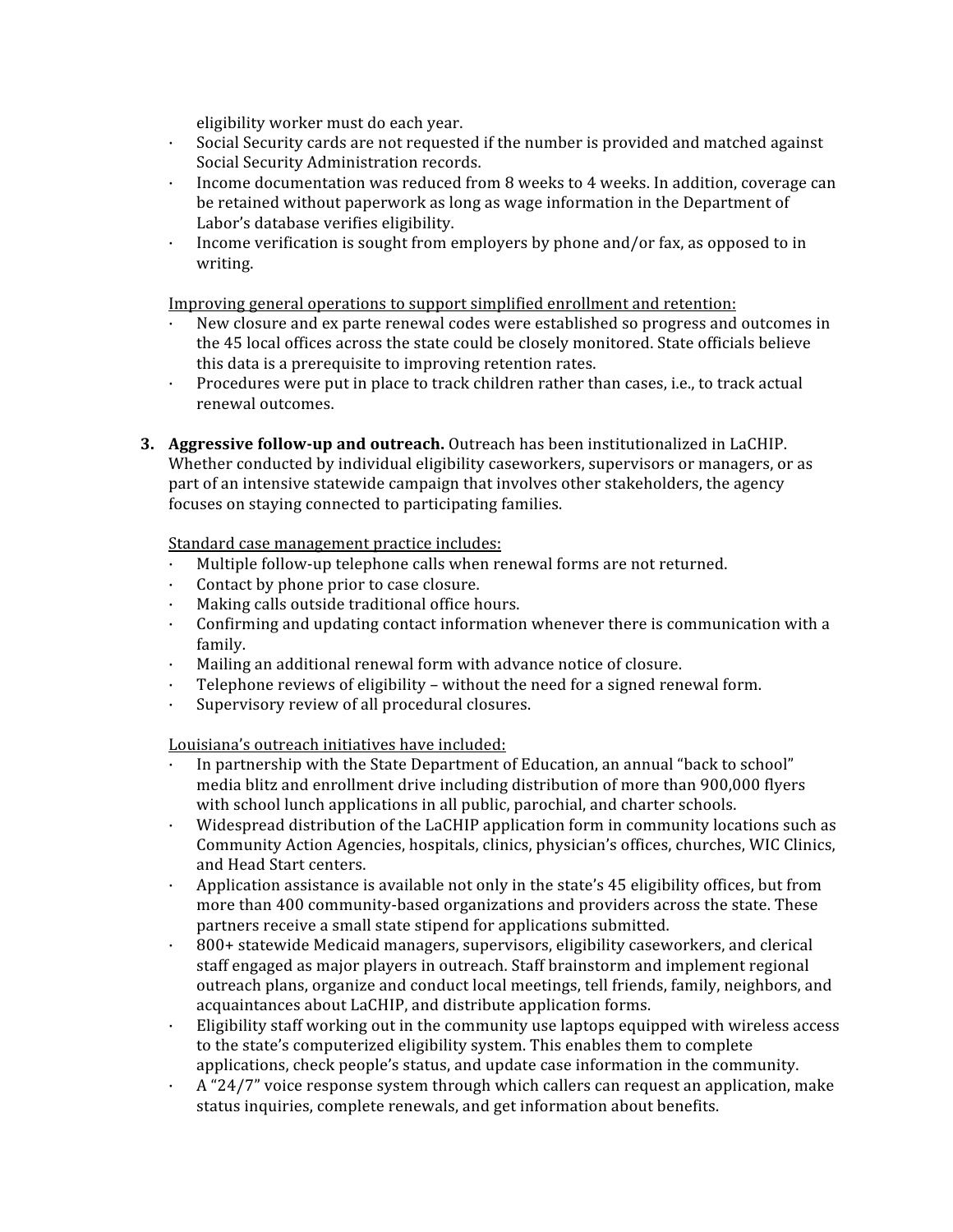eligibility worker must do each year.

- · Social Security cards are not requested if the number is provided and matched against Social Security Administration records.
- · Income documentation was reduced from 8 weeks to 4 weeks. In addition, coverage can be retained without paperwork as long as wage information in the Department of Labor's database verifies eligibility.
- · Income verification is sought from employers by phone and/or fax, as opposed to in writing.

Improving general operations to support simplified enrollment and retention:

- · New closure and ex parte renewal codes were established so progress and outcomes in the 45 local offices across the state could be closely monitored. State officials believe this data is a prerequisite to improving retention rates.
- Procedures were put in place to track children rather than cases, i.e., to track actual renewal outcomes.
- **3. Aggressive follow-up and outreach.** Outreach has been institutionalized in LaCHIP. Whether conducted by individual eligibility caseworkers, supervisors or managers, or as part of an intensive statewide campaign that involves other stakeholders, the agency focuses on staying connected to participating families.

Standard case management practice includes:

- Multiple follow-up telephone calls when renewal forms are not returned.
- · Contact by phone prior to case closure.
- Making calls outside traditional office hours.
- · Confirming and updating contact information whenever there is communication with a family.
- · Mailing an additional renewal form with advance notice of closure.
- · Telephone reviews of eligibility without the need for a signed renewal form.
- Supervisory review of all procedural closures.

Louisiana's outreach initiatives have included:

- · In partnership with the State Department of Education, an annual "back to school" media blitz and enrollment drive including distribution of more than 900,000 flyers with school lunch applications in all public, parochial, and charter schools.
- · Widespread distribution of the LaCHIP application form in community locations such as Community Action Agencies, hospitals, clinics, physician's offices, churches, WIC Clinics, and Head Start centers.
- · Application assistance is available not only in the state's 45 eligibility offices, but from more than 400 community-based organizations and providers across the state. These partners receive a small state stipend for applications submitted.
- · 800+ statewide Medicaid managers, supervisors, eligibility caseworkers, and clerical staff engaged as major players in outreach. Staff brainstorm and implement regional outreach plans, organize and conduct local meetings, tell friends, family, neighbors, and acquaintances about LaCHIP, and distribute application forms.
- · Eligibility staff working out in the community use laptops equipped with wireless access to the state's computerized eligibility system. This enables them to complete applications, check people's status, and update case information in the community.
- $\cdot$  A "24/7" voice response system through which callers can request an application, make status inquiries, complete renewals, and get information about benefits.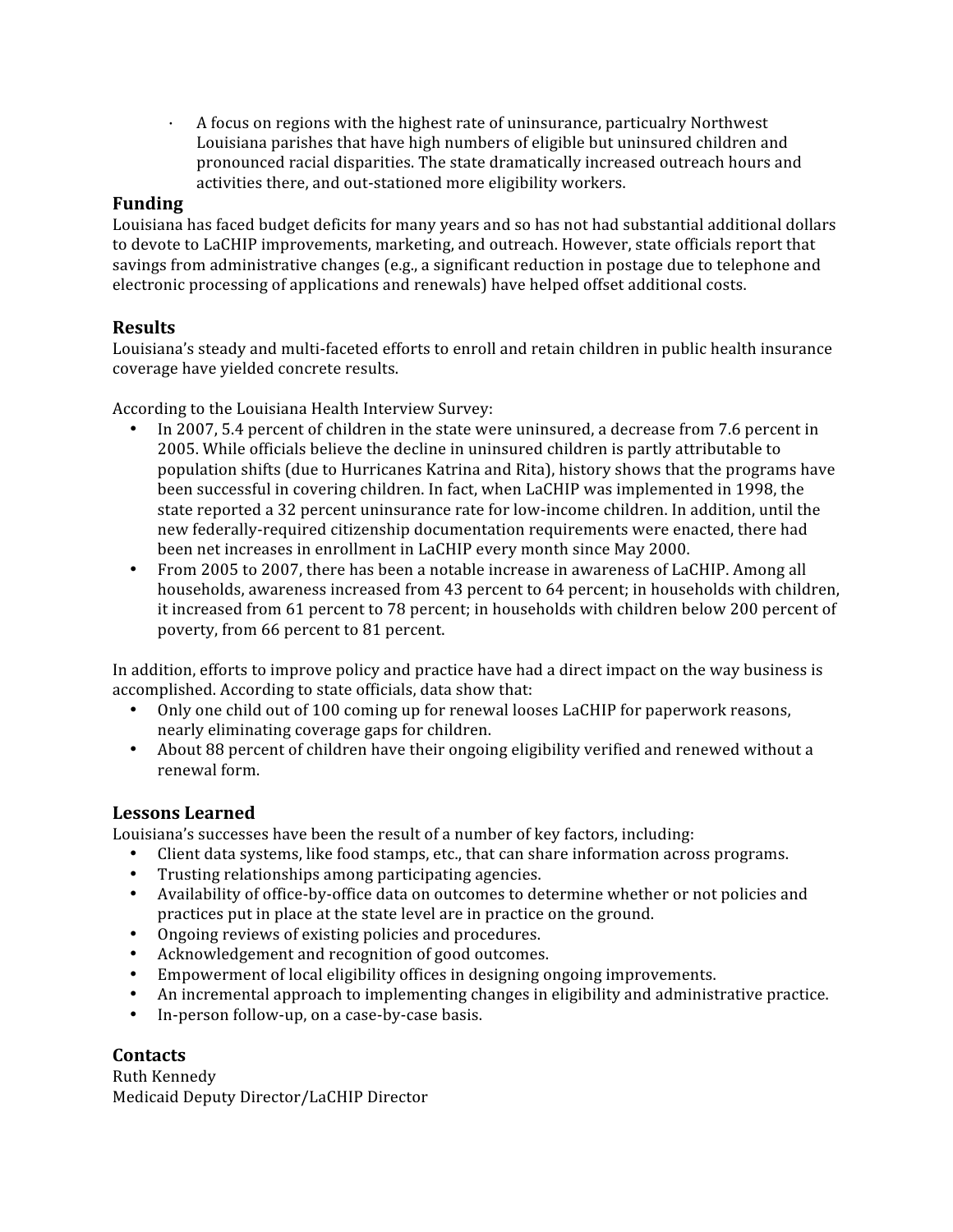· A focus on regions with the highest rate of uninsurance, particualry Northwest Louisiana parishes that have high numbers of eligible but uninsured children and pronounced racial disparities. The state dramatically increased outreach hours and activities there, and out‐stationed more eligibility workers.

# **Funding**

Louisiana has faced budget deficits for many years and so has not had substantial additional dollars to devote to LaCHIP improvements, marketing, and outreach. However, state officials report that savings from administrative changes (e.g., a significant reduction in postage due to telephone and electronic processing of applications and renewals) have helped offset additional costs.

# **Results**

Louisiana's steady and multi-faceted efforts to enroll and retain children in public health insurance coverage have yielded concrete results.

According to the Louisiana Health Interview Survey:

- In 2007, 5.4 percent of children in the state were uninsured, a decrease from 7.6 percent in 2005. While officials believe the decline in uninsured children is partly attributable to population shifts (due to Hurricanes Katrina and Rita), history shows that the programs have been successful in covering children. In fact, when LaCHIP was implemented in 1998, the state reported a 32 percent uninsurance rate for low‐income children. In addition, until the new federally‐required citizenship documentation requirements were enacted, there had been net increases in enrollment in LaCHIP every month since May 2000.
- From 2005 to 2007, there has been a notable increase in awareness of LaCHIP. Among all households, awareness increased from 43 percent to 64 percent; in households with children, it increased from 61 percent to 78 percent; in households with children below 200 percent of poverty, from 66 percent to 81 percent.

In addition, efforts to improve policy and practice have had a direct impact on the way business is accomplished. According to state officials, data show that:

- Only one child out of 100 coming up for renewal looses LaCHIP for paperwork reasons, nearly eliminating coverage gaps for children.
- About 88 percent of children have their ongoing eligibility verified and renewed without a renewal form.

# **Lessons Learned**

Louisiana's successes have been the result of a number of key factors, including:

- Client data systems, like food stamps, etc., that can share information across programs.
- Trusting relationships among participating agencies.
- Availability of office-by-office data on outcomes to determine whether or not policies and practices put in place at the state level are in practice on the ground.
- Ongoing reviews of existing policies and procedures.
- Acknowledgement and recognition of good outcomes.
- Empowerment of local eligibility offices in designing ongoing improvements.
- An incremental approach to implementing changes in eligibility and administrative practice.
- In-person follow-up, on a case-by-case basis.

# **Contacts**

Ruth Kennedy Medicaid Deputy Director/LaCHIP Director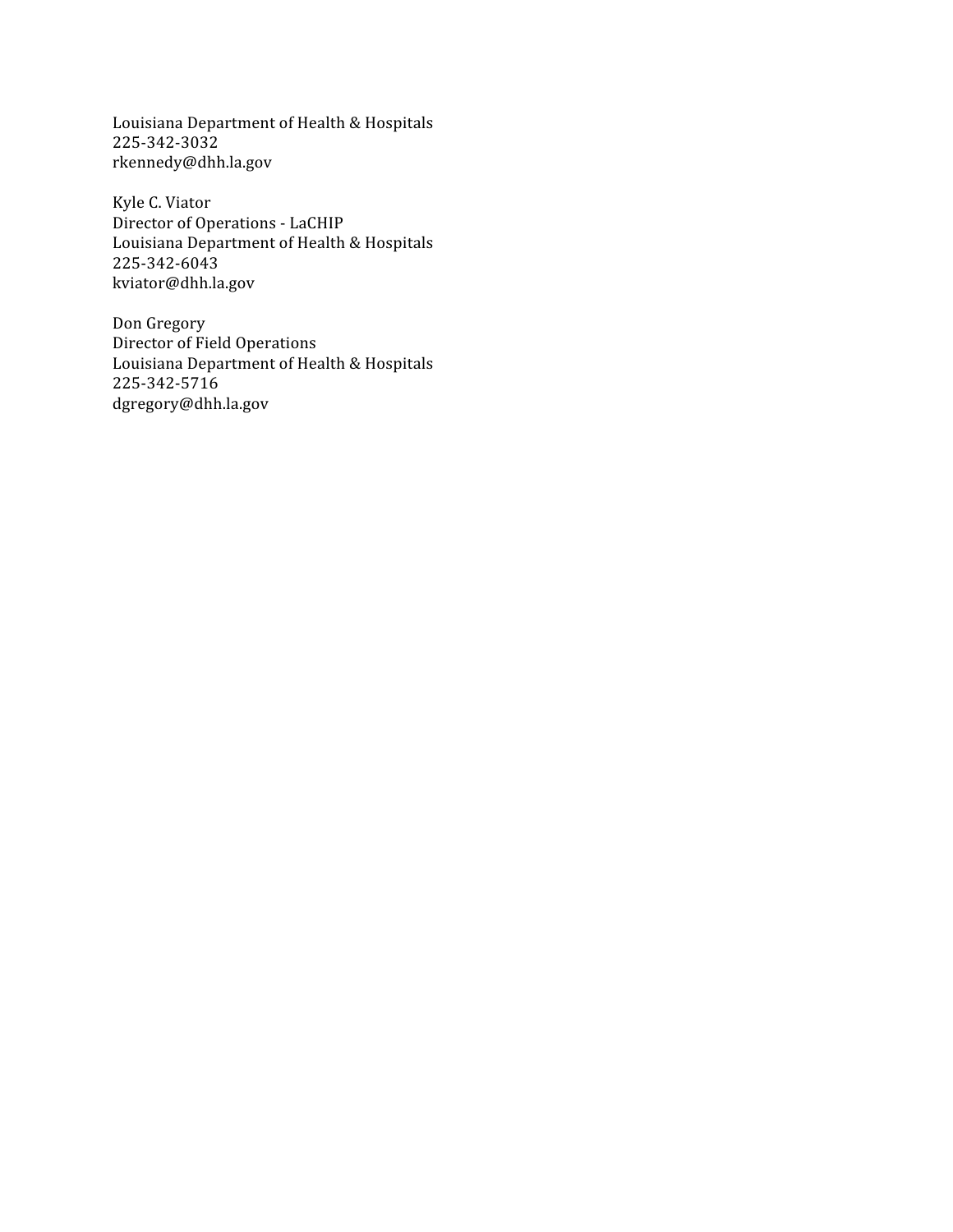Louisiana Department of Health & Hospitals 225‐342‐3032 rkennedy@dhh.la.gov

Kyle C. Viator Director of Operations ‐ LaCHIP Louisiana Department of Health & Hospitals 225‐342‐6043 kviator@dhh.la.gov

Don Gregory Director of Field Operations Louisiana Department of Health & Hospitals 225‐342‐5716 dgregory@dhh.la.gov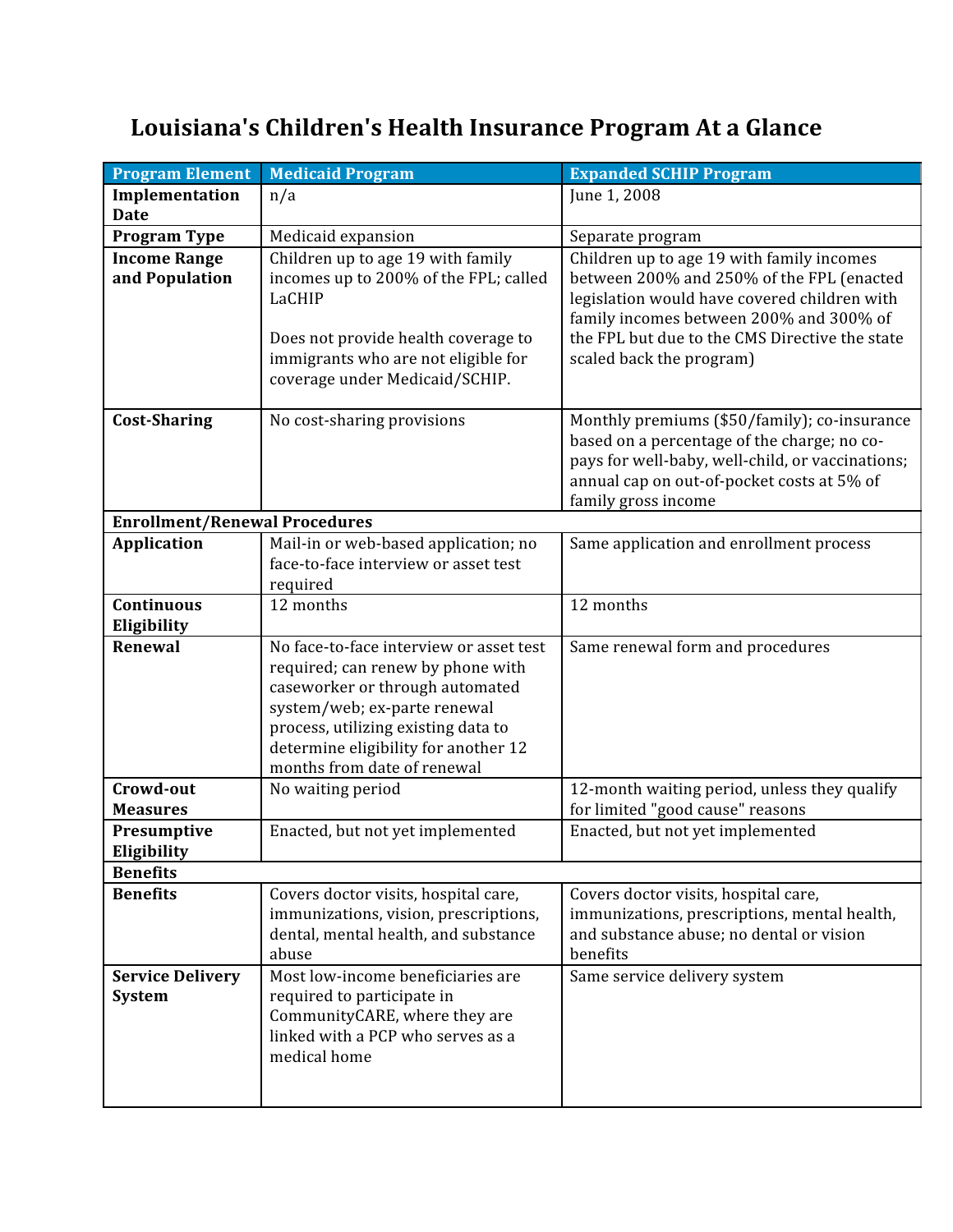# **Louisiana's Children's Health Insurance Program At a Glance**

| <b>Program Element</b>                   | <b>Medicaid Program</b>                                                                                                                                                                                                                                       | <b>Expanded SCHIP Program</b>                                                                                                                                                                                                                                   |  |
|------------------------------------------|---------------------------------------------------------------------------------------------------------------------------------------------------------------------------------------------------------------------------------------------------------------|-----------------------------------------------------------------------------------------------------------------------------------------------------------------------------------------------------------------------------------------------------------------|--|
| Implementation<br><b>Date</b>            | n/a                                                                                                                                                                                                                                                           | June 1, 2008                                                                                                                                                                                                                                                    |  |
| <b>Program Type</b>                      | Medicaid expansion                                                                                                                                                                                                                                            | Separate program                                                                                                                                                                                                                                                |  |
| <b>Income Range</b><br>and Population    | Children up to age 19 with family<br>incomes up to 200% of the FPL; called<br>LaCHIP<br>Does not provide health coverage to<br>immigrants who are not eligible for<br>coverage under Medicaid/SCHIP.                                                          | Children up to age 19 with family incomes<br>between 200% and 250% of the FPL (enacted<br>legislation would have covered children with<br>family incomes between 200% and 300% of<br>the FPL but due to the CMS Directive the state<br>scaled back the program) |  |
| <b>Cost-Sharing</b>                      | No cost-sharing provisions                                                                                                                                                                                                                                    | Monthly premiums (\$50/family); co-insurance<br>based on a percentage of the charge; no co-<br>pays for well-baby, well-child, or vaccinations;<br>annual cap on out-of-pocket costs at 5% of<br>family gross income                                            |  |
| <b>Enrollment/Renewal Procedures</b>     |                                                                                                                                                                                                                                                               |                                                                                                                                                                                                                                                                 |  |
| <b>Application</b>                       | Mail-in or web-based application; no<br>face-to-face interview or asset test<br>required                                                                                                                                                                      | Same application and enrollment process                                                                                                                                                                                                                         |  |
| Continuous<br>Eligibility                | 12 months                                                                                                                                                                                                                                                     | 12 months                                                                                                                                                                                                                                                       |  |
| Renewal                                  | No face-to-face interview or asset test<br>required; can renew by phone with<br>caseworker or through automated<br>system/web; ex-parte renewal<br>process, utilizing existing data to<br>determine eligibility for another 12<br>months from date of renewal | Same renewal form and procedures                                                                                                                                                                                                                                |  |
| Crowd-out<br><b>Measures</b>             | No waiting period                                                                                                                                                                                                                                             | 12-month waiting period, unless they qualify<br>for limited "good cause" reasons                                                                                                                                                                                |  |
| Presumptive<br>Eligibility               | Enacted, but not yet implemented                                                                                                                                                                                                                              | Enacted, but not yet implemented                                                                                                                                                                                                                                |  |
| <b>Benefits</b>                          |                                                                                                                                                                                                                                                               |                                                                                                                                                                                                                                                                 |  |
| <b>Benefits</b>                          | Covers doctor visits, hospital care,<br>immunizations, vision, prescriptions,<br>dental, mental health, and substance<br>abuse                                                                                                                                | Covers doctor visits, hospital care,<br>immunizations, prescriptions, mental health,<br>and substance abuse; no dental or vision<br>benefits                                                                                                                    |  |
| <b>Service Delivery</b><br><b>System</b> | Most low-income beneficiaries are<br>required to participate in<br>CommunityCARE, where they are<br>linked with a PCP who serves as a<br>medical home                                                                                                         | Same service delivery system                                                                                                                                                                                                                                    |  |